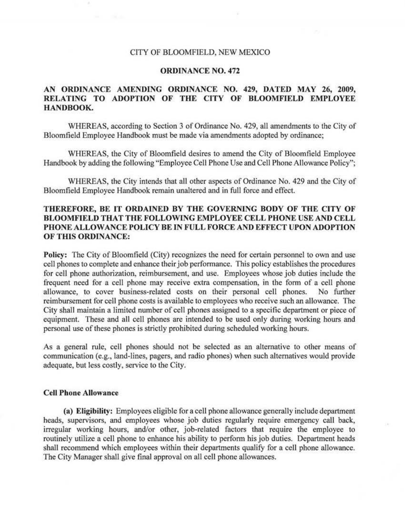### CITY OF BLOOMFIELD, NEW MEXICO

### ORDINANCE NO. 472

# AN ORDINANCE AMENDING ORDINANCE NO. 429, DATED MAY 26, 2009, RELATING TO ADOPTION OF THE CITY OF BLOOMFIELD EMPLOYEE HANDBOOK.

WHEREAS, according to Section 3 of Ordinance No. 429, all amendments to the City of Bloomfield Employee Handbook must be made via amendments adopted by ordinance;

WHEREAS, *the* City of Bloomfield desires to amend the City of Bloomfield Employee Handbook by adding the following "Employee Cell Phone Use and Cell Phone Allowance Policy";

WHEREAS, the City intends that all other aspects of Ordinance No. 429 and the City of Bloomfield Employee Handbook remain unaltered and in full force and effect.

# THEREFORE, BE IT ORDAINED BY THE GOVERNING BODY OF THE CITY OF BLOOMFIELD THAT THE FOLLOWING EMPLOYEE CELL PHONE USE AND CELL PHONE ALLOWANCE POLICY BE IN FULL FORCE AND EFFECT UPON ADOPTION OF THIS ORDlNANCE:

Policy: The City of Bloomfield (City) recognizes the need for certain personnel to own and use cell phones to complete and enhance their job performance. This policy establishes the procedures for cell phone authorization, reimbursement, and *use.* Employees whose job duties include the frequent need for a cell phone may receive extra compensation, in the form of a cell phone allowance, to cover business-related costs on their personal cell phones. No further reimbursement for cell phone costs is available to employees who receive such an allowance. The City shall maintain a limited number of cell phones assigned to a specific department or piece of equipment. These and all cell phones are intended to be used only during working hours and personal use of these phones is strictly prohibited during scheduled working hours.

As a general rule, cell phones should not be selected as an alternative to other means of communication (e.g., land-lines, pagers, and radio phones) when such alternatives would provide adequate, but *less* costly, service to the City.

### Cell Phone Allowance

{a) Eligibility: Employees eligible for a cell phone allowance generally include department heads, supervisors, and employees whose job duties regularly require emergency call back, irregular working hours, and/or other, job-related factors that require the employee to routinely utilize a cell phone to enhance his ability to perform his job duties. Department heads shall recommend which employees within their departments qualify for a cell phone allowance. The City Manager shall give final approval on all cell phone allowances.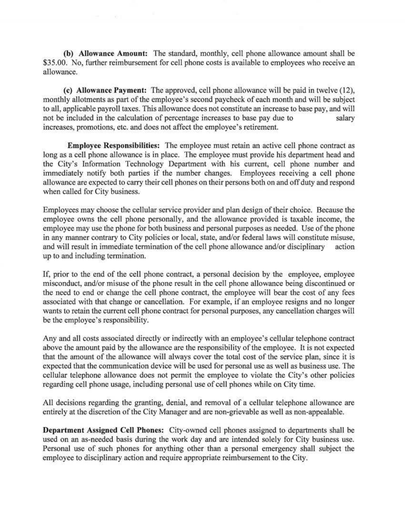(b) Allowance Amount: The standard, monthly, cell phone allowance amount shall be \$35.00. No, further reimbursement for cell phone costs is available to employees who receive an allowance.

(c) Allowance Payment: The approved, cell phone allowance will be paid in twelve (12), monthly allotments as part of the employee's second paycheck of each month and will be subject to all, applicable payroll taxes. This allowance does not constitute an increase to base pay, and will not be included in the calculation of percentage increases to base pay due to salary increases, promotions, etc. and does not affect the employee's retirement.

Employee Responsibilities: The employee must retain an active cell phone contract as long as a cell phone allowance is in place. The employee must provide his department head and the City's Information Technology Department with his current, cell phone number and immediately notify both parties if the number changes. Employees receiving a cell phone allowance are expected to carry their cell phones on their persons both on and off duty and respond when called for City business.

Employees may choose the cellular service provider and plan design of their choice. Because the employee owns the cell phone personally, and the allowance provided is taxable income, the employee may use the phone for both business and personal purposes as needed. Use of the phone in any manner contrary to City policies or local, state, and/or federal laws will constitute misuse, and will result in immediate termination of the cell phone allowance and/or disciplinary action up to and including termination.

If, prior to the end of the cell phone contract, a personal decision by the employee, employee misconduct, and/or misuse of the phone result in the cell phone allowance being discontinued or the need to end or change the cell phone contract, the employee will bear the cost of any fees associated with that change or cancellation. For example, if an employee resigns and no longer wants to retain the current cell phone contract for personal purposes, any cancellation charges will be the employee's responsibility.

Any and all costs associated directly or indirectly with an employee's cellular telephone contract above the amount paid by the allowance are the responsibility of the employee. *It* is not expected that the amount of the allowance will always cover the total cost of the service plan, since it is expected that the communication device will be used for personal use as well as business use. The cellular telephone allowance does not permit the employee to violate the City's other policies regarding cell phone usage, including personal use of cell phones while on City time.

All decisions regarding the granting, denial, and removal of a cellular telephone allowance are entirely at the discretion of the City Manager and are non-grievable as well as non-appealable.

Depa rtment Assigned Cell Phones: City-owned cell phones assigned to departments shall be used on an as-needed basis during the work day and are intended solely for City business use. Personal use of such phones for anything other than a personal emergency shall subject the employee to disciplinary action and require appropriate reimbursement to the City.